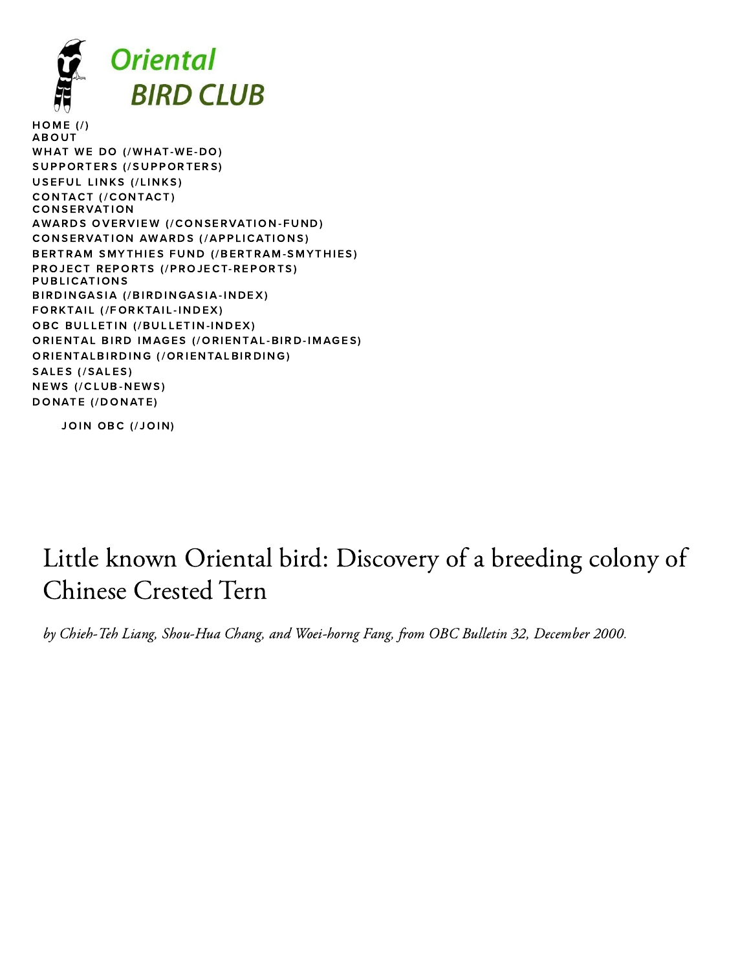

 $HOME$  [\(/\)](https://www.orientalbirdclub.org/) [SAL](https://www.orientalbirdclub.org/sales)ES (/SALES) NEWS [\(/CLU](https://www.orientalbirdclub.org/club-news)B-NEWS) DON[AT](https://www.orientalbirdclub.org/donate)E (/DONATE) **ABOUT** WHAT WE DO (/WH[AT-W](https://www.orientalbirdclub.org/what-we-do)E-DO) SUPPORT[ERS](https://www.orientalbirdclub.org/supporters) (/SUPPORTERS) USEFUL LIN[KS](https://www.orientalbirdclub.org/links) (/LINKS) CON[TACT](https://www.orientalbirdclub.org/contact) (/CONTACT) **CONSERVATION** AWARDS [OVERVI](https://www.orientalbirdclub.org/conservation-fund)EW (/CONSERVATION-FUND) CONS[ERVAT](https://www.orientalbirdclub.org/applications)ION AWARDS (/APPLICATIONS) BERTRAM SMYTHIES FUND [\(/BERTRA](https://www.orientalbirdclub.org/bertram-smythies)M-SMYTHIES) PROJECT REPORTS (/PROJ[ECT-RE](https://www.orientalbirdclub.org/project-reports)PORTS) **PUBLICATIONS** BIRDINGASIA [\(/BIR](https://www.orientalbirdclub.org/birdingasia-index)DINGASIA-INDEX) FO[RKTAI](https://www.orientalbirdclub.org/forktail-index)L (/FORKTAIL-INDEX) OBC BULLETIN (/BULLETIN-IND[EX\)](https://www.orientalbirdclub.org/bulletin-index) ORIENTAL BIRD IMAGES (/ORIENTAL[-BIR](https://www.orientalbirdclub.org/oriental-bird-images)D-IMAGES) ORIEN[TALBIR](https://www.orientalbirdclub.org/orientalbirding)DING (/ORIENTALBIRDING)

JOIN O[BC](https://www.orientalbirdclub.org/join) (/JOIN)

## Little known Oriental bird: Discovery of a breeding colony of Chinese Crested Tern

by Chieh-Teh Liang, Shou-Hua Chang, and Woei-horng Fang, from OBC Bulletin 32, December 2000.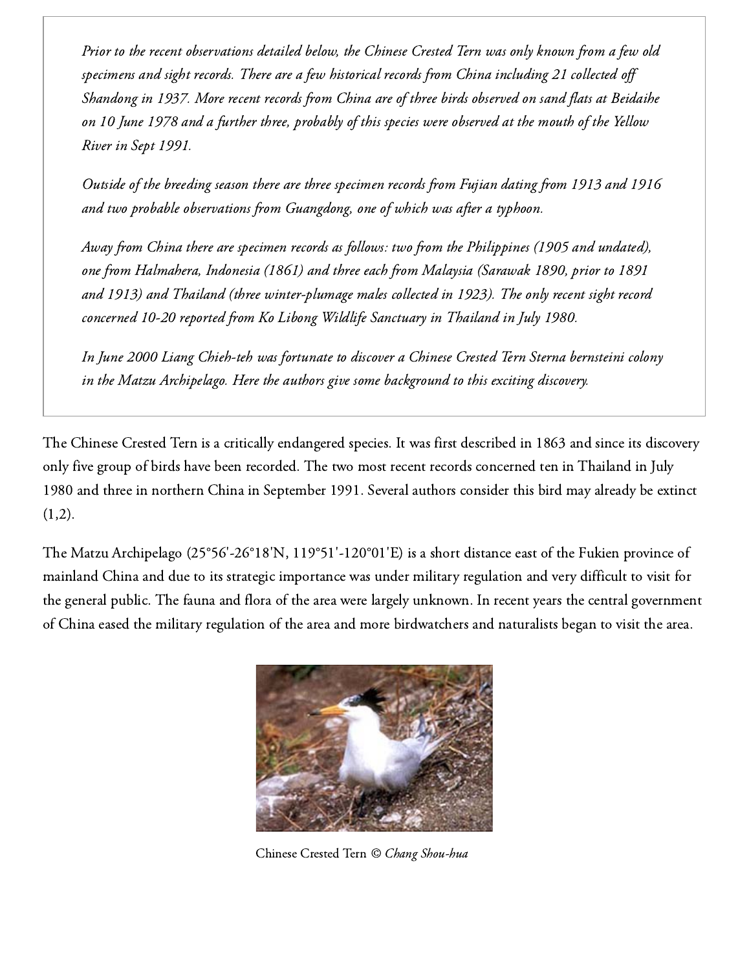Prior to the recent observations detailed below, the Chinese Crested Tern was only known from a few old specimens and sight records. There are a few historical records from China including 21 collected off Shandong in 1937. More recent records from China are of three birds observed on sand flats at Beidaihe on 10 June 1978 and a further three, probably of this species were observed at the mouth of the Yellow River in Sept 1991.

Outside of the breeding season there are three specimen records from Fujian dating from 1913 and 1916 and two probable observations from Guangdong, one of which was after a typhoon.

Away from China there are specimen records as follows: two from the Philippines (1905 and undated), one from Halmahera, Indonesia (1861) and three each from Malaysia (Sarawak 1890, prior to 1891 and 1913) and Thailand (three winter-plumage males collected in 1923). The only recent sight record concerned 10-20 reported from Ko Libong Wildlife Sanctuary in Thailand in July 1980.

In June 2000 Liang Chieh-teh was fortunate to discover a Chinese Crested Tern Sterna bernsteini colony in the Matzu Archipelago. Here the authors give some background to this exciting discovery.

The Chinese Crested Tern is a critically endangered species. It was first described in 1863 and since its discovery only five group of birds have been recorded. The two most recent records concerned ten in Thailand in July 1980 and three in northern China in September 1991. Several authors consider this bird may already be extinct  $(1,2).$ 

The Matzu Archipelago (25°56'-26°18'N, 119°51'-120°01'E) is a short distance east of the Fukien province of mainland China and due to its strategic importance was under military regulation and very difficult to visit for the general public. The fauna and flora of the area were largely unknown. In recent years the central government of China eased the military regulation of the area and more birdwatchers and naturalists began to visit the area.



Chinese Crested Tern © Chang Shou-hua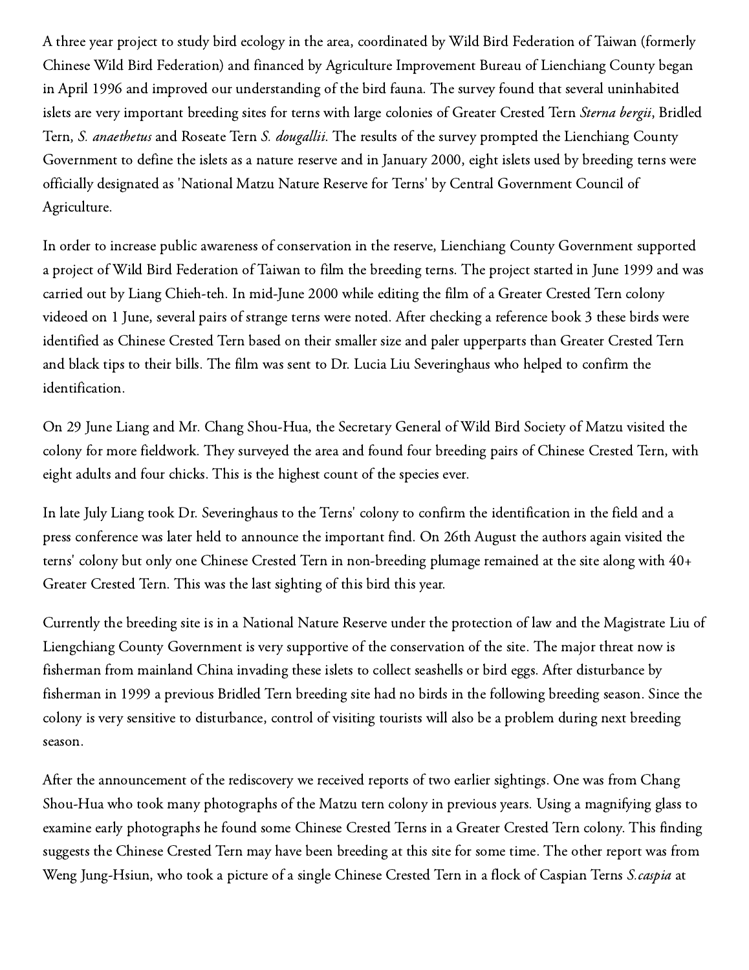A three year project to study bird ecology in the area, coordinated by Wild Bird Federation of Taiwan (formerly Chinese Wild Bird Federation) and financed by Agriculture Improvement Bureau of Lienchiang County began in April 1996 and improved our understanding of the bird fauna. The survey found that several uninhabited islets are very important breeding sites for terns with large colonies of Greater Crested Tern Sterna bergii, Bridled Tern, S. anaethetus and Roseate Tern S. dougallii. The results of the survey prompted the Lienchiang County Government to define the islets as a nature reserve and in January 2000, eight islets used by breeding terns were officially designated as 'National Matzu Nature Reserve for Terns' by Central Government Council of Agriculture.

In order to increase public awareness of conservation in the reserve, Lienchiang County Government supported a project of Wild Bird Federation of Taiwan to film the breeding terns. The project started in June 1999 and was carried out by Liang Chieh-teh. In mid-June 2000 while editing the film of a Greater Crested Tern colony videoed on 1 June, several pairs of strange terns were noted. After checking a reference book 3 these birds were identified as Chinese Crested Tern based on their smaller size and paler upperparts than Greater Crested Tern and black tips to their bills. The film was sent to Dr. Lucia Liu Severinghaus who helped to confirm the identification.

On 29 June Liang and Mr. Chang Shou-Hua, the Secretary General of Wild Bird Society of Matzu visited the colony for more fieldwork. They surveyed the area and found four breeding pairs of Chinese Crested Tern, with eight adults and four chicks. This is the highest count of the species ever.

In late July Liang took Dr. Severinghaus to the Terns' colony to confirm the identification in the field and a press conference was later held to announce the important find. On 26th August the authors again visited the terns' colony but only one Chinese Crested Tern in non-breeding plumage remained at the site along with 40+ Greater Crested Tern. This was the last sighting of this bird this year.

Currently the breeding site is in a National Nature Reserve under the protection of law and the Magistrate Liu of Liengchiang County Government is very supportive of the conservation of the site. The major threat now is fisherman from mainland China invading these islets to collect seashells or bird eggs. After disturbance by fisherman in 1999 a previous Bridled Tern breeding site had no birds in the following breeding season. Since the colony is very sensitive to disturbance, control of visiting tourists will also be a problem during next breeding season.

After the announcement of the rediscovery we received reports of two earlier sightings. One was from Chang Shou-Hua who took many photographs of the Matzu tern colony in previous years. Using a magnifying glass to examine early photographs he found some Chinese Crested Terns in a Greater Crested Tern colony. This finding suggests the Chinese Crested Tern may have been breeding at this site for some time. The other report was from Weng Jung-Hsiun, who took a picture of a single Chinese Crested Tern in a flock of Caspian Terns S. caspia at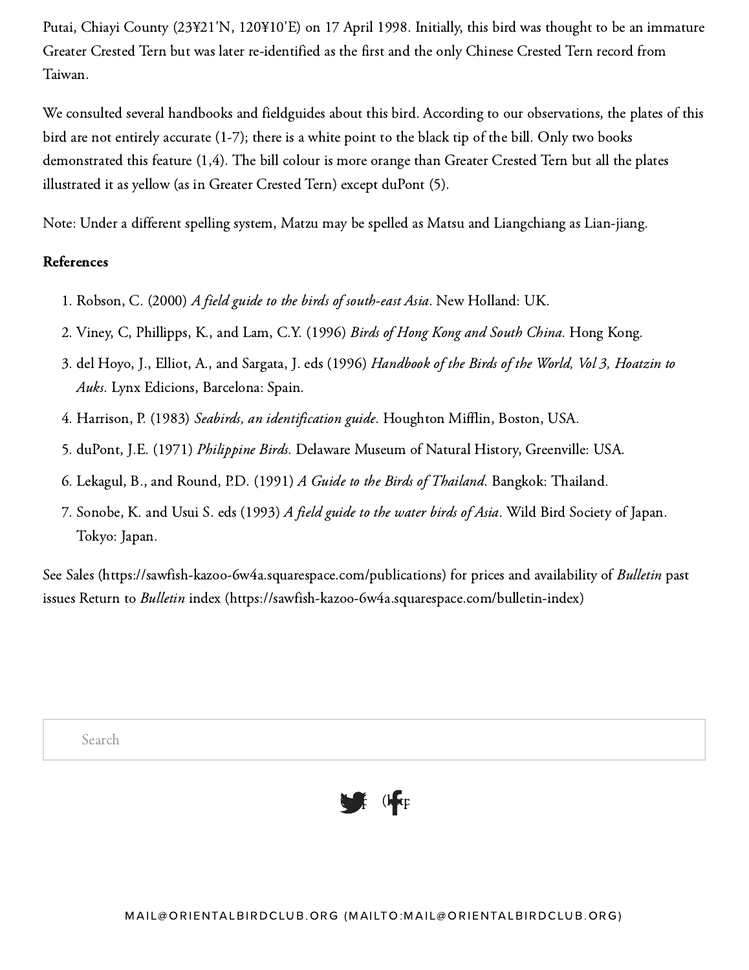Putai, Chiayi County (23¥21'N, 120¥10'E) on 17 April 1998. Initially, this bird was thought to be an immature Greater Crested Tern but was later re-identified as the first and the only Chinese Crested Tern record from Taiwan.

We consulted several handbooks and fieldguides about this bird. According to our observations, the plates of this bird are not entirely accurate (1-7); there is a white point to the black tip of the bill. Only two books demonstrated this feature (1,4). The bill colour is more orange than Greater Crested Tern but all the plates illustrated it as yellow (as in Greater Crested Tern) except duPont (5).

Note: Under a different spelling system, Matzu may be spelled as Matsu and Liangchiang as Lian-jiang.

## References

- 1. Robson, C. (2000) A field guide to the birds of south-east Asia. New Holland: UK.
- 2. Viney, C, Phillipps, K., and Lam, C.Y. (1996) *Birds of Hong Kong and South China*. Hong Kong.
- 3. del Hoyo, J., Elliot, A., and Sargata, J. eds (1996) Handbook of the Birds of the World, Vol 3, Hoatzin to Auks. Lynx Edicions, Barcelona: Spain.
- 4. Harrison, P. (1983) Seabirds, an identification guide. Houghton Mifflin, Boston, USA.
- 5. duPont, J.E. (1971) Philippine Birds. Delaware Museum of Natural History, Greenville: USA.
- 6. Lekagul, B., and Round, P.D. (1991) A Guide to the Birds of Thailand. Bangkok: Thailand.
- 7. Sonobe, K. and Usui S. eds (1993) A field guide to the water birds of Asia. Wild Bird Society of Japan. Tokyo: Japan.

See [Sales \(https://sawfish-kazoo-6w4a.squarespace.com/publications\)](https://sawfish-kazoo-6w4a.squarespace.com/publications) for prices and availability of *Bulletin* past issues Return to *Bulletin* index (https://sawfish-kazoo-6w4a.squarespace.com/bulletin-index)

Search